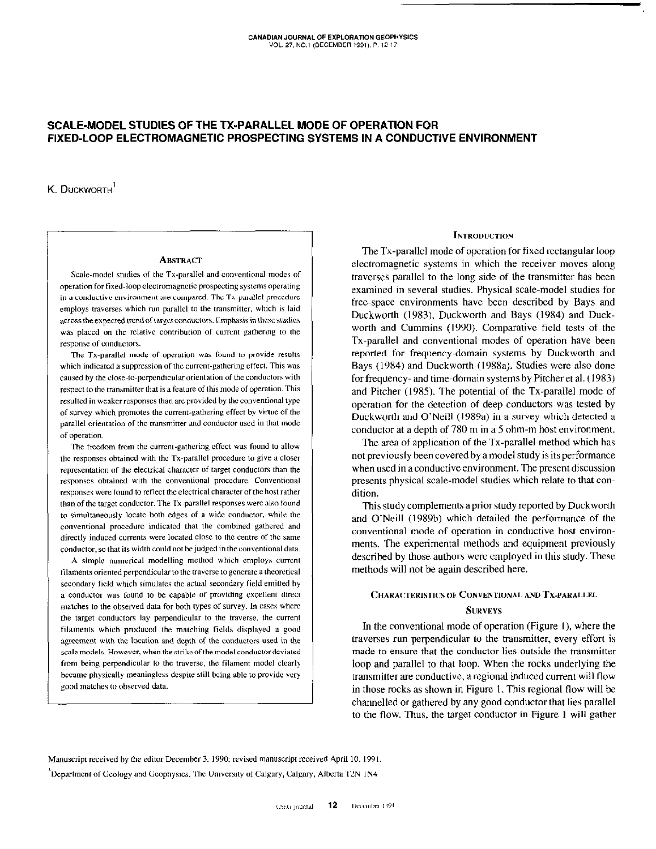# SCALE-MODEL STUDIES OF THE TX-PARALLEL MODE OF OPERATION FOR FIXED-LOOP ELECTROMAGNETIC PROSPECTING SYSTEMS IN A CONDUCTIVE ENVIRONMENT

 $K$  Duckworth<sup>1</sup>

#### **ABSTRACT**

Scale-model studies of the Tx-parallel and conventional modes of operation for fixed-loop electromagnetic prospecting systems operating in a conductive environment are compared. The Tx-parallel procedure employs traverses which run parallel to the transmitter, which is laid across the expected trend of target conductors. Emphasis in these studies was placed on the relative contribution of current gathering to the response of conductors.

The Tx-parallel mode of operation was found to provide results which indicated a suppression of the current-gathering effect. This was caused by the close-to-perpendicular orientation of the conductors with respect to the transmitter that is a feature of this mode of operation. This resulted in weaker responses than are provided by the conventional type of survey which promotes the current-gathering effect by virtue of the parallel orientation of the transmitter and conductor used in that mode of operation.

The freedom from the current-gathering effect was found to allow the responses obtained with the Tx-parallel procedure to give a closer representation of the electrical character of target conductors than the responses obtained with the conventional procedure. Conventional responses were found to reflect the electrical character of the host rather than of the target conductor. The Tx-parallel responses were also found to simultaneously locate both edges of a wide conductor, while the conventional procedure indicated that the combined gathered and directly induced currents were located close to the centre of the same conductor, so that its width could not be judged in the conventional data.

A simple numerical modelling method which employs current filaments oriented perpendicular to the traverse to generate a theoretical secondary field which simulates the actual secondary field emitted by a conductor was found to be capable of providing excellent direct matches to the observed data for both types of survey. In cases where the target conductors lay perpendicular to the traverse, the current filaments which produced the matching fields displayed a good agreement with the location and depth of the conductors used in the scale models. However, when the strike of the model conductor deviated from being perpendicular to the traverse, the filament model clearly became physically meaningless despite still being able to provide very good matches to observed data.

### **INTRODUCTION**

The Tx-parallel mode of operation for fixed rectangular loop electromagnetic systems in which the receiver moves along traverses parallel to the long side of the transmitter has been examined in several studies. Physical scale-model studies for free-space environments have been described by Bays and Duckworth (1983). Duckworth and Bays (1984) and Duckworth and Cummins (1990). Comparative field tests of the Tx-parallel and conventional modes of operation have been reported for frequency-domain systems by Duckworth and Bays (1984) and Duckworth (1988a), Studies were also done for frequency- and time-domain systems by Pitcher et al. (1983) and Pitcher (1985). The potential of the Tx-parallel mode of operation for the detection of deep conductors was tested by Duckworth and O'Neill (1989a) in a survey which detected a conductor at a depth of 780 m in a 5 ohm-m host environment.

The area of application of the Tx-parallel method which has not previously been covered by a model study is its performance when used in a conductive environment. The present discussion presents physical scale-model studies which relate to that condition.

This study complements a prior study reported by Duckworth and O'Neill (1989b) which detailed the performance of the conventional mode of operation in conductive host environments. The experimental methods and equipment previously described by those authors were employed in this study. These methods will not be again described here.

## CHARACTERISTICS OF CONVENTIONAL AND TX-PARALLEL

#### **SURVEYS**

In the conventional mode of operation (Figure 1), where the traverses run perpendicular to the transmitter, every effort is made to ensure that the conductor lies outside the transmitter loop and parallel to that loop. When the rocks underlying the transmitter are conductive, a regional induced current will flow in those rocks as shown in Figure 1. This regional flow will be channelled or gathered by any good conductor that lies parallel to the flow. Thus, the target conductor in Figure 1 will gather

Manuscript received by the editor December 3, 1990; revised manuscript received April 10, 1991.

'Department of Geology and Geophysics, The University of Calgary, Calgary, Alberta T2N IN4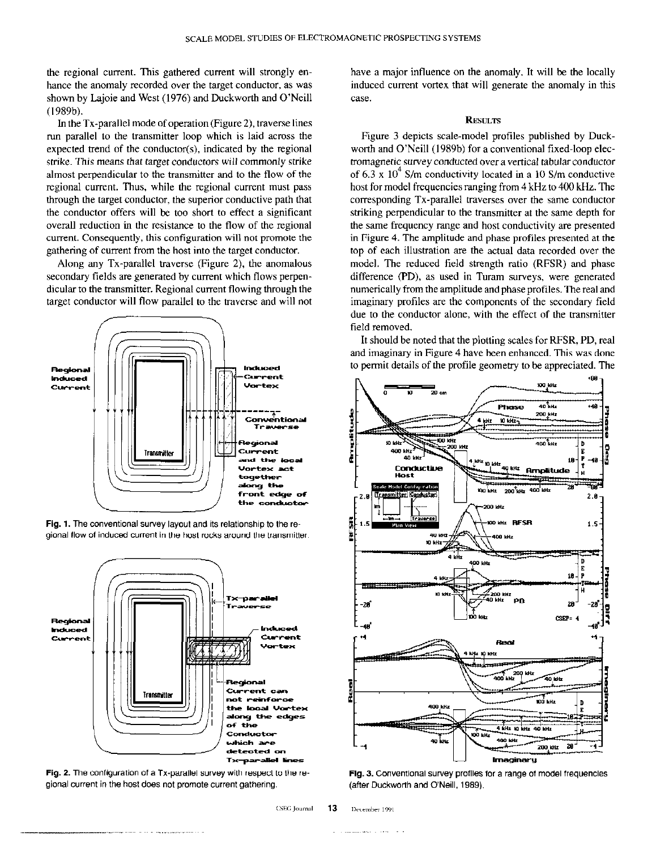the regional current. This gathered current will strongly enhance the anomaly recorded over the target conductor, as was shown by Lajoie and West (1976) and Duckworth and O'Neill (1989b).

In the TX-parallel mode of operation (Figure 2). traverse lines run parallel to the transmitter loop which is laid across the expected trend of the conductor $(s)$ , indicated by the regional strike. This means that target conductors will commonly strike almost perpendicular to the transmitter and to the flow of the regional current. Thus, while the regional current must pass through the target conductor, the superior conductive path that the conductor offers will be too short to effect a significant overall reduction in the resistance to the flow of the regional current. Consequently, this configuration will not promote the gathering of current from the host into the target conductor.

Along any TX-parallel traverse (Figure 2), the anomalous secondary fields are generated by current which flows perpendicular to the transmitter. Regional current flowing through the target conductor will flow parallel to the traverse and will not



Fig. 1. The conventional survey layout and its relationship to theregional flow of induced current in the host rocks around the transmitter.



Fig. 2. The configuration of a TX-parallel survey with respect to the regional current in the host does not promote current gathering.

have a major influence on the anomaly. It will be the locally induced current vortex that will generate the anomaly in this case.

## **RESULTS**

Figure 3 depicts scale-model profiles published by Duckworth and O'Neill (1989b) for a conventional fixed-loop electromagnetic survey conducted over a vertical tabular conductor of 6.3 x  $10^4$  S/m conductivity located in a 10 S/m conductive host for model frequencies ranging from 4 kHz to 400 kHz. The corresponding TX-parallel traverses over the same conductor striking perpendicular to the transmitter at the same depth for the same frequency range and host conductivity are presented in Figure 4. The amplitude and phase profiles presented at the top of each illustration are the actual data recorded over the model. The reduced field strength ratio (RFSR) and phase difference (PD), as used in Turam surveys, were generated numerically from the amplitude and phase profiles. The real and imaginary profiles are the components of the secondary field due to the conductor alone, with the effect of the transmitter field removed.

It should be noted that the plotting scales for RFSR, PD, real and imaginary in Figure 4 have been enhanced. This was done to permit details of the profile geometry to be appreciated. The



Ftg. 3. Conventional survey profiles for a range of model frequencies (after Duckworth and O'Neill, 1989).

CSEG Journal 13 December 1991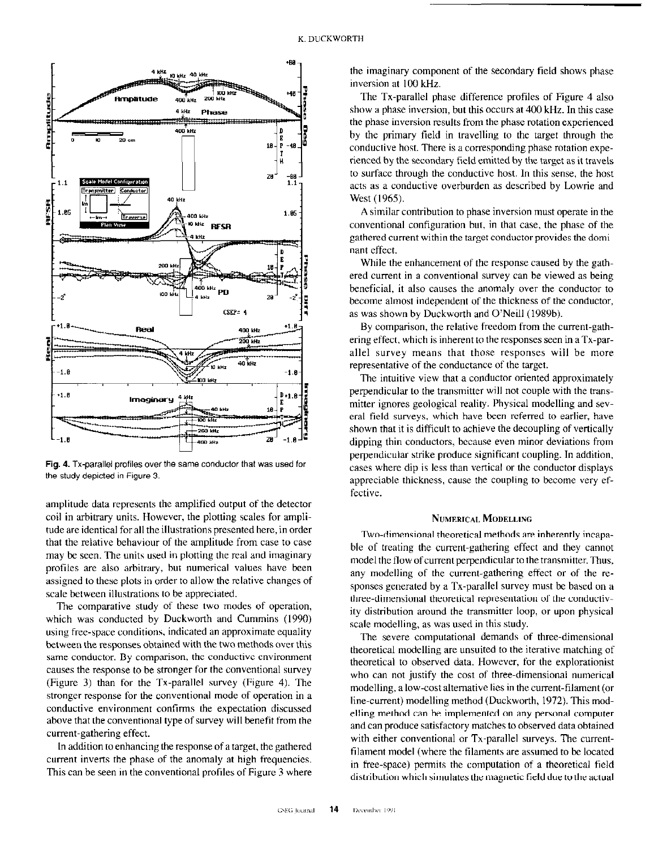

Fig. 4. TX-parallel profiles over the same conductor that was used for the study depicted in Figure 3.

amplitude data represents the amplified output of the detector coil in arbitrary units. However, the plotting scales for amplitude arc identical for all the illustrations presented here, in order that the relative behaviour of the amplitude from case to case may be seen. The units used in plotting the real and imaginary profiles are also arbitrary, but numerical values have been assigned to these plots in order to allow the relative changes of scale between illustrations to be appreciated.

The comparative study of these two modes of operation, which was conducted by Duckworth and Cummins (1990) using free-space conditions, indicated an approximate equality between the responses obtained with the two methods over this same conductor. By comparison, the conductive environment causes the response to he stronger for the conventional survey (Figure 3) than for the Tx-parallel survey (Figure 4). The stronger response for the conventional mode of operation in a conductive environment confirms the expectation discussed above that the conventional type of survey will benefit from the current-gathering effect.

In addition to enhancing the response of a target, the gathered current inverts the phase of the anomaly at high frequencies. This can be seen in the conventional profiles of Figure 3 where the imaginary component of the secondary field shows phase inversion at 100 kHz.

The TX-parallel phase difference profiles of Figure 4 also show a phase inversion, but this occurs at 400 kHz. In this case the phase inversion results from the phase rotation experienced by the primary field in travelling to the target through the conductive host. There is a corresponding phase rotation experienced by the secondary field emitted by the target as it travels to surface through the conductive host. In this sense, the host acts as a conductive overburden as described by Lowric and West (1965).

A similar contribution to phase inversion must operate in the conventional configuration but, in that case, the phase of the gathered current within the target conductor provides the dominant effect.

While the enhancement of the response caused by the gathered current in a conventional survey can he viewed as being beneficial, it also causes the anomaly over the conductor to become almost independent of the thickness of the conductor, as was shown by Duckworth and O'Neill (1989b).

By comparison, the relative freedom from the current-gatlering effect, which is inherent to the responses seen in a  $Tx$ -parallel survey means that those responses will be more representative of the conductance of the target.

The intuitive view that a conductor oriented approximately perpendicular to the transmitter will not couple with the trans. mitter ignores geological reality. Physical modelling and scvera1 field surveys, which have been referred to earlier, have shown that it is difficult to achieve the decoupling of vertically dipping thin conductors, because even minor deviations from perpendicular strike produce significant coupling. In addition, cases where dip is less than vertical or the conductor displays appreciable thickness, cause the coupling to become very cffectivc.

## NUMERICAL MODELLING

Two-dimensional theoretical methods are inherently incapable of treating the current-gathering effect and they cannot model the flow of current perpendicular to the transmitter. Thus, any modelling of the current-gathering effect or of the rcsponses generated by a Tx-parallel survey must be based on a three-dimensional theoretical representation of the conductivity distribution around the transmitter loop, or upon physical scale modelling, as was used in this study.

The severe computational demands of three-dimensional theoretical modelling arc unsuited to the iterative matching of theoretical to observed data. However, for the cxplorationist who can not justify the cost of three-dimensional numerical modelling, a low-cost alternative lies in the current-filament (or line-current) modelling method (Duckworth, 1972). This modelling method can be implemented on any personal computer and can produce satisfactory matches to observed data obtained with either conventional or Tx-parallel surveys. The currentfilament model (where the filaments arc assumed to be located in free-space) permits the computation of a theoretical field distribution which simulates the magnetic field due to the actual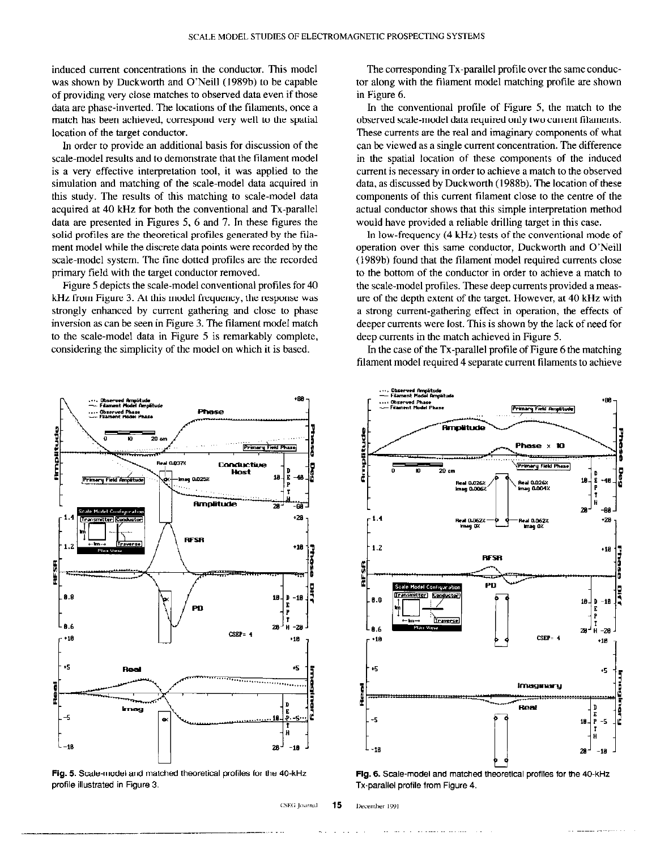induced current concentrations in the conductor. This model was shown by Duckworth and O'Neill (1989b) to be capable of providing very close matches to observed data even if those data are phase-inverted. The locations of the filaments, once a match has been achieved, correspond very well to the spatial location of the target conductor.

In order to provide an additional basis for discussion of the scale-model results and to demonstrate that the filament model is a very effective interpretation tool, it was applied to the simulation and matching of the scale-model data acquired in this study. The results of this matching to scale-model data acquired at 40 kHz for both the conventional and TX-parallel data arc presented in Figures 5, 6 and 7. In these figures the solid profiles are the theoretical profiles generated by the filament model while the discrete data points were recorded by the scale-model system. The fine dotted profiles are the recorded primary field with the target conductor removed.

Figure 5 depicts the scale-model conventional profiles for 40 kHz from Figure 3. At this model frequency, the response was strongly enhanced by current gathering and close to phase inversion as can be seen in Figure 3. The filament model match to the scale-model data in Figure 5 is remarkably complete, considering the simplicity of the model on which it is based.



Fig. 5. Scale-model and matched theoretical profiles for the 40.kHz profile illustrated in Figure 3.

-\_ -.,~~

The corresponding TX-parallel profile over the same conductor along with the filament model matching profile are shown in Figure 6.

In the conventional profile of Figure 5, the match to the observed scale-model data required only two current filaments. These currents are the real and imaginary components of what can be viewed as a single current concentration. The difference in the spatial location of these components of the induced current is necessary in order to achieve a match to the observed data, as discussed by Duckworth (1988b). The location of these components of this current filament close to the centre of the actual conductor shows that this simple interpretation method would have provided a reliable drilling target in this case.

In low-frequency (4 kHz) tests of the conventional mode of operation over this same conductor, Duckworth and O'Neill (1989b) found that the filament model required currents close to the bottom of the conductor in order to achieve a match to the scale-model profiles. These deep currents provided a measure of the depth extent of the target. However, at 40 kHz with a strong current-gathering effect in operation, the effects of deeper currents were lost. This is shown by the lack of need for deep currents in the match achieved in Figure 5.

In the case of the TX-parallel profile of Figure 6 the matching filament model required 4 separate current filaments to achieve



Fig. 6. Scale-model and matched theoretical profiles for the 40.kHz TX-parallel profile from Figure 4.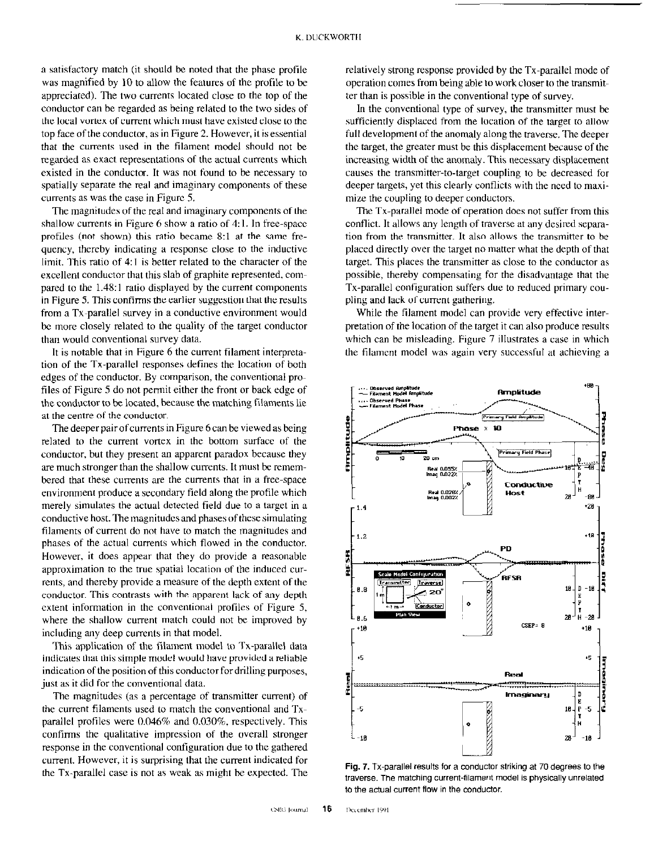a satisfactory match (it should be noted that the phase profile was magnified by IO to allow the features of the profile to be appreciated). The two currents located close to the top of the conductor can be regarded as being related to the two sides of the local vortex of current which must have existed close to the top face of the conductor, as in Figure 2. However, it is essential that the currents used in the filament model should not be regarded as exact representations of the actual currents which existed in the conductor. It was not found to be necessary to spatially separate the real and imaginary components of these currents as was the case in Figure 5.

The magnitudes of the real and imaginary components of the shallow currents in Figure 6 show a ratio of 4:1. In free-space profiles (not shown) this ratio became 8:1 at the same frequency, thereby indicating a response close to the inductive limit. This ratio of 4:1 is better related to the character of the excellent conductor that this slab of graphite represented, compared to the 1.48:l ratio displayed by the current components in Figure 5. This confirms the earlier suggestion that the results from a TX-parallel survey in a conductive environment would be more closely related to the quality of the target conductor than would conventional survey data.

It is notable that in Figure 6 the current filament interpretation of the TX-parallel responses defines the location of both edges of the conductor. By comparison, the conventional profiles of Figure 5 do not permit either the front or back edge of the conductor to be located, because the matching filaments lie at the centre of the conductor.

The deeper pair of currents in Figure 6 can be viewed as being related to the current vortex in the bottom surface of the conductor, but they present an apparent paradox because they are much stronger than the shallow currents. It must be remembered that these currents are the currents that in a free-space environment produce a secondary field along the profile which merely simulates the actual detected field due to a target in a conductive host. The magnitudes and phases of these simulating filaments of current do not have to match the magnitudes and phases of the actual currents which flowed in the conductor. However, it does appear that they do provide a reasonable approximation to the true spatial location of the induced currents, and thereby provide a measure of the depth extent of the conductor. This contrasts with the apparent lack of any depth extent information in the conventional profiles of Figure 5, where the shallow current match could not be improved by including any deep currents in that model.

This application of the filament model to Tx-parallel data indicates that this simple model would have provided a reliable indication of the position of this conductor for drilling purposes, just as it did for the conventional data.

The magnitudes (as a percentage of transmitter current) of the current filaments used to match the conventional and TXparallel profiles were 0.046% and 0.030%. respectively. This confirms the qualitative impression of the overall stronger response in the conventional configuration due to the gathered current. However, it is surprising that the current indicated for the TX-parallel case is not as weak as might be expected. The relatively strong response provided by the TX-parallel mode of operation comes from being able to work closer to the transmitter than is possible in the conventional type of survey.

In the conventional type of survey, the transmitter must be sufficiently displaced from the location of the target to allow full development of the anomaly along the traverse. The deeper the target, the greater must be this displacement because of the increasing width of the anomaly. This necessary displacement causes the transmitter-to-target coupling to be decreased for deeper targets, yet this clearly conflicts with the need to maximize the coupling to deeper conductors.

The TX-parallel mode of operation does not suffer from this conflict. It allows any length of traverse at any desired separation from the transmitter. It also allows the transmitter to be placed directly over the target no matter what the depth of that target. This places the transmitter as close to the conductor as possible, thereby compensating for the disadvantage that the TX-parallel configuration suffers due to reduced primary coupling and lack of current gathering.

While the filament model can provide very effective interpretation of the location of the target it can also produce results which can be misleading. Figure 7 illustrates a case in which the filament model was again very successful at achieving a



Fig. 7. TX-parallel results for a conductor striking at 70 degrees to the traverse. The matching current-filament model is physically unrelated to the actual current flow in the conductor.